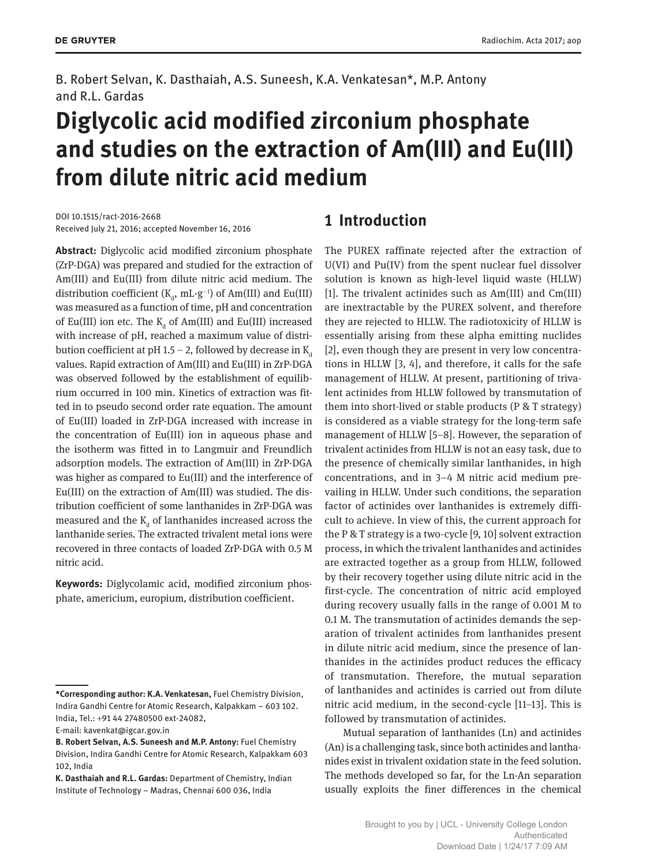B. Robert Selvan, K. Dasthaiah, A.S. Suneesh, K.A. Venkatesan\*, M.P. Antony and R.L. Gardas

# **Diglycolic acid modified zirconium phosphate and studies on the extraction of Am(III) and Eu(III) from dilute nitric acid medium**

DOI 10.1515/ract-2016-2668 Received July 21, 2016; accepted November 16, 2016

**Abstract:** Diglycolic acid modified zirconium phosphate (ZrP-DGA) was prepared and studied for the extraction of Am(III) and Eu(III) from dilute nitric acid medium. The distribution coefficient ( $K_d$ , mL·g<sup>-1</sup>) of Am(III) and Eu(III) was measured as a function of time, pH and concentration of Eu(III) ion etc. The  $K_d$  of Am(III) and Eu(III) increased with increase of pH, reached a maximum value of distribution coefficient at pH 1.5 – 2, followed by decrease in  $K_d$ values. Rapid extraction of Am(III) and Eu(III) in ZrP-DGA was observed followed by the establishment of equilibrium occurred in 100 min. Kinetics of extraction was fitted in to pseudo second order rate equation. The amount of Eu(III) loaded in ZrP-DGA increased with increase in the concentration of Eu(III) ion in aqueous phase and the isotherm was fitted in to Langmuir and Freundlich adsorption models. The extraction of Am(III) in ZrP-DGA was higher as compared to Eu(III) and the interference of Eu(III) on the extraction of Am(III) was studied. The distribution coefficient of some lanthanides in ZrP-DGA was measured and the  $\mathrm{K}_\mathrm{d}$  of lanthanides increased across the lanthanide series. The extracted trivalent metal ions were recovered in three contacts of loaded ZrP-DGA with 0.5 M nitric acid.

**Keywords:** Diglycolamic acid, modified zirconium phosphate, americium, europium, distribution coefficient.

E-mail: kavenkat@igcar.gov.in

# **1 Introduction**

The PUREX raffinate rejected after the extraction of U(VI) and Pu(IV) from the spent nuclear fuel dissolver solution is known as high-level liquid waste (HLLW) [1]. The trivalent actinides such as Am(III) and Cm(III) are inextractable by the PUREX solvent, and therefore they are rejected to HLLW. The radiotoxicity of HLLW is essentially arising from these alpha emitting nuclides [2], even though they are present in very low concentrations in HLLW [3, 4], and therefore, it calls for the safe management of HLLW. At present, partitioning of trivalent actinides from HLLW followed by transmutation of them into short-lived or stable products (P & T strategy) is considered as a viable strategy for the long-term safe management of HLLW [5–8]. However, the separation of trivalent actinides from HLLW is not an easy task, due to the presence of chemically similar lanthanides, in high concentrations, and in 3–4 M nitric acid medium prevailing in HLLW. Under such conditions, the separation factor of actinides over lanthanides is extremely difficult to achieve. In view of this, the current approach for the P & T strategy is a two-cycle [9, 10] solvent extraction process, in which the trivalent lanthanides and actinides are extracted together as a group from HLLW, followed by their recovery together using dilute nitric acid in the first-cycle. The concentration of nitric acid employed during recovery usually falls in the range of 0.001 M to 0.1 M. The transmutation of actinides demands the separation of trivalent actinides from lanthanides present in dilute nitric acid medium, since the presence of lanthanides in the actinides product reduces the efficacy of transmutation. Therefore, the mutual separation of lanthanides and actinides is carried out from dilute nitric acid medium, in the second-cycle [11–13]. This is followed by transmutation of actinides.

Mutual separation of lanthanides (Ln) and actinides (An) is a challenging task, since both actinides and lanthanides exist in trivalent oxidation state in the feed solution. The methods developed so far, for the Ln-An separation usually exploits the finer differences in the chemical

**<sup>\*</sup>Corresponding author: K.A. Venkatesan,** Fuel Chemistry Division, Indira Gandhi Centre for Atomic Research, Kalpakkam – 603 102. India, Tel.: +91 44 27480500 ext-24082,

**B. Robert Selvan, A.S. Suneesh and M.P. Antony:** Fuel Chemistry Division, Indira Gandhi Centre for Atomic Research, Kalpakkam 603 102, India

**K. Dasthaiah and R.L. Gardas:** Department of Chemistry, Indian Institute of Technology – Madras, Chennai 600 036, India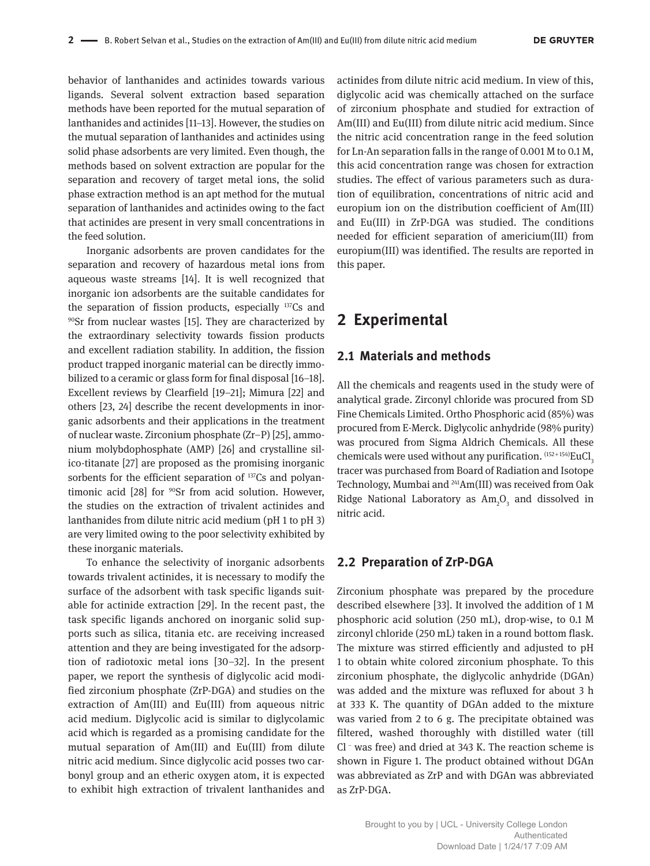behavior of lanthanides and actinides towards various ligands. Several solvent extraction based separation methods have been reported for the mutual separation of lanthanides and actinides [11–13]. However, the studies on the mutual separation of lanthanides and actinides using solid phase adsorbents are very limited. Even though, the methods based on solvent extraction are popular for the separation and recovery of target metal ions, the solid phase extraction method is an apt method for the mutual separation of lanthanides and actinides owing to the fact that actinides are present in very small concentrations in the feed solution.

Inorganic adsorbents are proven candidates for the separation and recovery of hazardous metal ions from aqueous waste streams [14]. It is well recognized that inorganic ion adsorbents are the suitable candidates for the separation of fission products, especially 137Cs and <sup>90</sup>Sr from nuclear wastes [15]. They are characterized by the extraordinary selectivity towards fission products and excellent radiation stability. In addition, the fission product trapped inorganic material can be directly immobilized to a ceramic or glass form for final disposal [16–18]. Excellent reviews by Clearfield [19–21]; Mimura [22] and others [23, 24] describe the recent developments in inorganic adsorbents and their applications in the treatment of nuclear waste. Zirconium phosphate (Zr–P) [25], ammonium molybdophosphate (AMP) [26] and crystalline silico-titanate [27] are proposed as the promising inorganic sorbents for the efficient separation of <sup>137</sup>Cs and polyantimonic acid [28] for <sup>90</sup>Sr from acid solution. However, the studies on the extraction of trivalent actinides and lanthanides from dilute nitric acid medium (pH 1 to pH 3) are very limited owing to the poor selectivity exhibited by these inorganic materials.

To enhance the selectivity of inorganic adsorbents towards trivalent actinides, it is necessary to modify the surface of the adsorbent with task specific ligands suitable for actinide extraction [29]. In the recent past, the task specific ligands anchored on inorganic solid supports such as silica, titania etc. are receiving increased attention and they are being investigated for the adsorption of radiotoxic metal ions [30–32]. In the present paper, we report the synthesis of diglycolic acid modified zirconium phosphate (ZrP-DGA) and studies on the extraction of Am(III) and Eu(III) from aqueous nitric acid medium. Diglycolic acid is similar to diglycolamic acid which is regarded as a promising candidate for the mutual separation of Am(III) and Eu(III) from dilute nitric acid medium. Since diglycolic acid posses two carbonyl group and an etheric oxygen atom, it is expected to exhibit high extraction of trivalent lanthanides and

actinides from dilute nitric acid medium. In view of this, diglycolic acid was chemically attached on the surface of zirconium phosphate and studied for extraction of Am(III) and Eu(III) from dilute nitric acid medium. Since the nitric acid concentration range in the feed solution for Ln-An separation falls in the range of 0.001 M to 0.1 M, this acid concentration range was chosen for extraction studies. The effect of various parameters such as duration of equilibration, concentrations of nitric acid and europium ion on the distribution coefficient of Am(III) and Eu(III) in ZrP-DGA was studied. The conditions needed for efficient separation of americium(III) from europium(III) was identified. The results are reported in this paper.

## **2 Experimental**

### **2.1 Materials and methods**

All the chemicals and reagents used in the study were of analytical grade. Zirconyl chloride was procured from SD Fine Chemicals Limited. Ortho Phosphoric acid (85%) was procured from E-Merck. Diglycolic anhydride (98% purity) was procured from Sigma Aldrich Chemicals. All these chemicals were used without any purification.  $(152 + 154)EuCl$ tracer was purchased from Board of Radiation and Isotope Technology, Mumbai and <sup>241</sup>Am(III) was received from Oak Ridge National Laboratory as  $Am_2O_3$  and dissolved in nitric acid.

#### **2.2 Preparation of ZrP-DGA**

Zirconium phosphate was prepared by the procedure described elsewhere [33]. It involved the addition of 1 M phosphoric acid solution (250 mL), drop-wise, to 0.1 M zirconyl chloride (250 mL) taken in a round bottom flask. The mixture was stirred efficiently and adjusted to pH 1 to obtain white colored zirconium phosphate. To this zirconium phosphate, the diglycolic anhydride (DGAn) was added and the mixture was refluxed for about 3 h at 333 K. The quantity of DGAn added to the mixture was varied from 2 to 6 g. The precipitate obtained was filtered, washed thoroughly with distilled water (till Cl <sup>−</sup> was free) and dried at 343 K. The reaction scheme is shown in Figure 1. The product obtained without DGAn was abbreviated as ZrP and with DGAn was abbreviated as ZrP-DGA.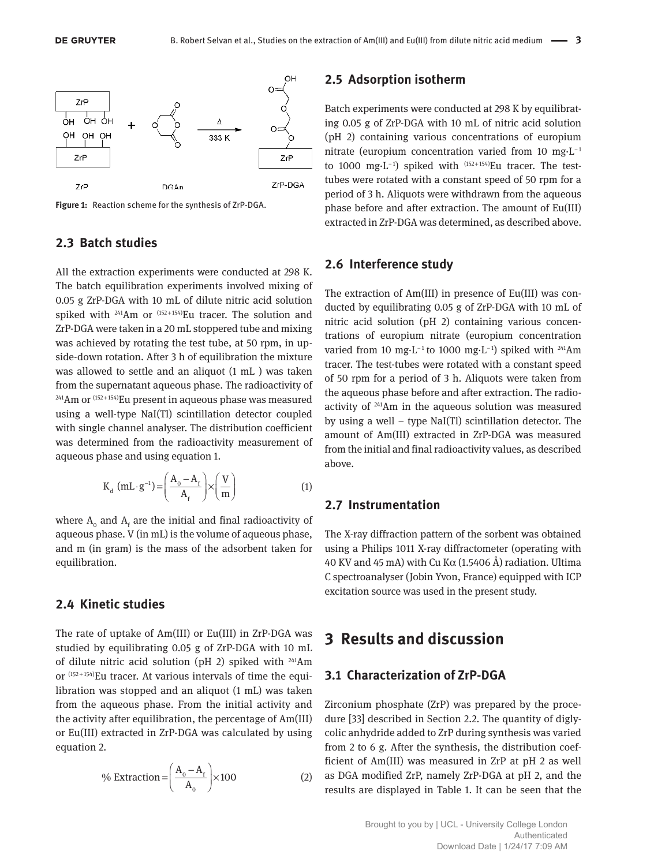

**Figure 1:** Reaction scheme for the synthesis of ZrP-DGA.

### **2.3 Batch studies**

All the extraction experiments were conducted at 298 K. The batch equilibration experiments involved mixing of 0.05 g ZrP-DGA with 10 mL of dilute nitric acid solution spiked with  $241$ Am or  $(152+154)$ Eu tracer. The solution and ZrP-DGA were taken in a 20 mL stoppered tube and mixing was achieved by rotating the test tube, at 50 rpm, in upside-down rotation. After 3 h of equilibration the mixture was allowed to settle and an aliquot (1 mL ) was taken from the supernatant aqueous phase. The radioactivity of  $241$ Am or  $(152+154)$ Eu present in aqueous phase was measured using a well-type NaI(Tl) scintillation detector coupled with single channel analyser. The distribution coefficient was determined from the radioactivity measurement of aqueous phase and using equation 1.

$$
K_{d} \left( mL \cdot g^{-1} \right) = \left( \frac{A_{o} - A_{f}}{A_{f}} \right) \times \left( \frac{V}{m} \right)
$$
 (1)

where  $A_0$  and  $A_f$  are the initial and final radioactivity of aqueous phase. V (in mL) is the volume of aqueous phase, and m (in gram) is the mass of the adsorbent taken for equilibration.

### **2.4 Kinetic studies**

The rate of uptake of Am(III) or Eu(III) in ZrP-DGA was studied by equilibrating 0.05 g of ZrP-DGA with 10 mL of dilute nitric acid solution (pH 2) spiked with 241Am or (152+154)Eu tracer. At various intervals of time the equilibration was stopped and an aliquot (1 mL) was taken from the aqueous phase. From the initial activity and the activity after equilibration, the percentage of Am(III) or Eu(III) extracted in ZrP-DGA was calculated by using equation 2.

$$
\% \text{ Extraction} = \left(\frac{A_{0} - A_{f}}{A_{0}}\right) \times 100 \tag{2}
$$

#### **2.5 Adsorption isotherm**

Batch experiments were conducted at 298 K by equilibrating 0.05 g of ZrP-DGA with 10 mL of nitric acid solution (pH 2) containing various concentrations of europium nitrate (europium concentration varied from 10 mg⋅L<sup>-1</sup> to 1000 mg·L<sup>-1</sup>) spiked with <sup>(152+154)</sup>Eu tracer. The testtubes were rotated with a constant speed of 50 rpm for a period of 3 h. Aliquots were withdrawn from the aqueous phase before and after extraction. The amount of Eu(III) extracted in ZrP-DGA was determined, as described above.

### **2.6 Interference study**

The extraction of Am(III) in presence of Eu(III) was conducted by equilibrating 0.05 g of ZrP-DGA with 10 mL of nitric acid solution (pH 2) containing various concentrations of europium nitrate (europium concentration varied from 10 mg·L<sup>-1</sup> to 1000 mg·L<sup>-1</sup>) spiked with <sup>241</sup>Am tracer. The test-tubes were rotated with a constant speed of 50 rpm for a period of 3 h. Aliquots were taken from the aqueous phase before and after extraction. The radioactivity of 241Am in the aqueous solution was measured by using a well – type NaI(Tl) scintillation detector. The amount of Am(III) extracted in ZrP-DGA was measured from the initial and final radioactivity values, as described above.

#### **2.7 Instrumentation**

The X-ray diffraction pattern of the sorbent was obtained using a Philips 1011 X-ray diffractometer (operating with 40 KV and 45 mA) with Cu K $\alpha$  (1.5406 Å) radiation. Ultima C spectroanalyser (Jobin Yvon, France) equipped with ICP excitation source was used in the present study.

# **3 Results and discussion**

### **3.1 Characterization of ZrP-DGA**

Zirconium phosphate (ZrP) was prepared by the procedure [33] described in Section 2.2. The quantity of diglycolic anhydride added to ZrP during synthesis was varied from 2 to 6 g. After the synthesis, the distribution coefficient of Am(III) was measured in ZrP at pH 2 as well as DGA modified ZrP, namely ZrP-DGA at pH 2, and the results are displayed in Table 1. It can be seen that the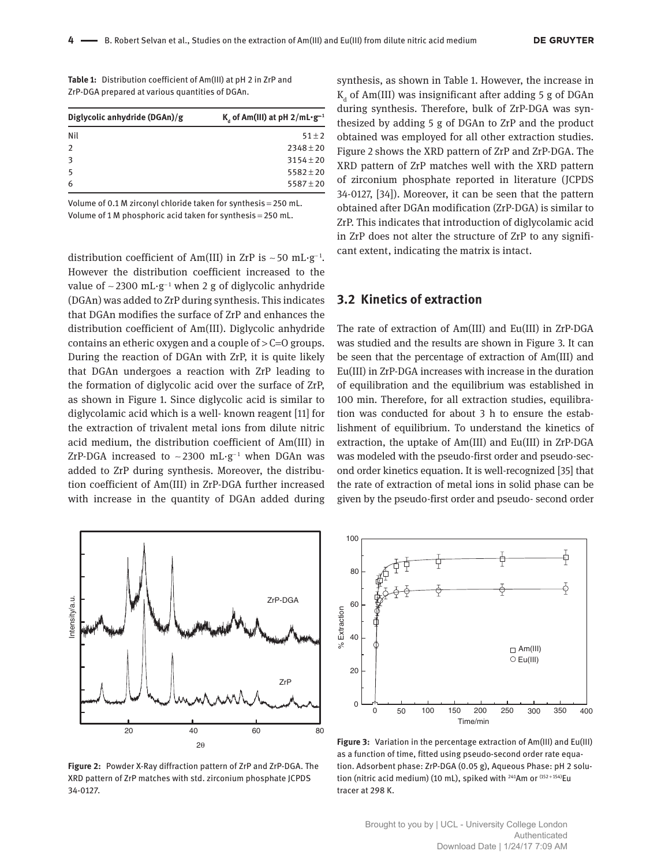| <b>Table 1:</b> Distribution coefficient of Am(III) at pH 2 in ZrP and |  |
|------------------------------------------------------------------------|--|
| ZrP-DGA prepared at various quantities of DGAn.                        |  |

| Diglycolic anhydride (DGAn)/g | K, of Am(III) at pH $2/mL \cdot g^{-1}$ |  |  |
|-------------------------------|-----------------------------------------|--|--|
| Nil                           | $51 \pm 2$                              |  |  |
| $\mathcal{P}$                 | $2348 \pm 20$                           |  |  |
|                               | $3154 \pm 20$                           |  |  |
|                               | $5582 \pm 20$                           |  |  |
| 6                             | $5587 \pm 20$                           |  |  |

Volume of 0.1 M zirconyl chloride taken for synthesis = 250 mL. Volume of 1 M phosphoric acid taken for synthesis = 250 mL.

distribution coefficient of Am(III) in ZrP is ~50 mL·g<sup>-1</sup>. However the distribution coefficient increased to the value of ∼ 2300 mL·g− 1 when 2 g of diglycolic anhydride (DGAn) was added to ZrP during synthesis. This indicates that DGAn modifies the surface of ZrP and enhances the distribution coefficient of Am(III). Diglycolic anhydride contains an etheric oxygen and a couple of > C=O groups. During the reaction of DGAn with ZrP, it is quite likely that DGAn undergoes a reaction with ZrP leading to the formation of diglycolic acid over the surface of ZrP, as shown in Figure 1. Since diglycolic acid is similar to diglycolamic acid which is a well- known reagent [11] for the extraction of trivalent metal ions from dilute nitric acid medium, the distribution coefficient of Am(III) in ZrP-DGA increased to ∼ 2300 mL·g− 1 when DGAn was added to ZrP during synthesis. Moreover, the distribution coefficient of Am(III) in ZrP-DGA further increased with increase in the quantity of DGAn added during



**Figure 2:** Powder X-Ray diffraction pattern of ZrP and ZrP-DGA. The XRD pattern of ZrP matches with std. zirconium phosphate JCPDS 34-0127.

synthesis, as shown in Table 1. However, the increase in  $\text{K}_{\text{d}}$  of Am(III) was insignificant after adding 5 g of DGAn during synthesis. Therefore, bulk of ZrP-DGA was synthesized by adding 5 g of DGAn to ZrP and the product obtained was employed for all other extraction studies. Figure 2 shows the XRD pattern of ZrP and ZrP-DGA. The XRD pattern of ZrP matches well with the XRD pattern of zirconium phosphate reported in literature (JCPDS 34-0127, [34]). Moreover, it can be seen that the pattern obtained after DGAn modification (ZrP-DGA) is similar to ZrP. This indicates that introduction of diglycolamic acid in ZrP does not alter the structure of ZrP to any significant extent, indicating the matrix is intact.

### **3.2 Kinetics of extraction**

The rate of extraction of Am(III) and Eu(III) in ZrP-DGA was studied and the results are shown in Figure 3. It can be seen that the percentage of extraction of Am(III) and Eu(III) in ZrP-DGA increases with increase in the duration of equilibration and the equilibrium was established in 100 min. Therefore, for all extraction studies, equilibration was conducted for about 3 h to ensure the establishment of equilibrium. To understand the kinetics of extraction, the uptake of Am(III) and Eu(III) in ZrP-DGA was modeled with the pseudo-first order and pseudo-second order kinetics equation. It is well-recognized [35] that the rate of extraction of metal ions in solid phase can be given by the pseudo-first order and pseudo- second order



**Figure 3:** Variation in the percentage extraction of Am(III) and Eu(III) as a function of time, fitted using pseudo-second order rate equation. Adsorbent phase: ZrP-DGA (0.05 g), Aqueous Phase: pH 2 solution (nitric acid medium) (10 mL), spiked with <sup>241</sup>Am or <sup>(152+154)</sup>Eu tracer at 298 K.

Brought to you by | UCL - University College London Authenticated Download Date | 1/24/17 7:09 AM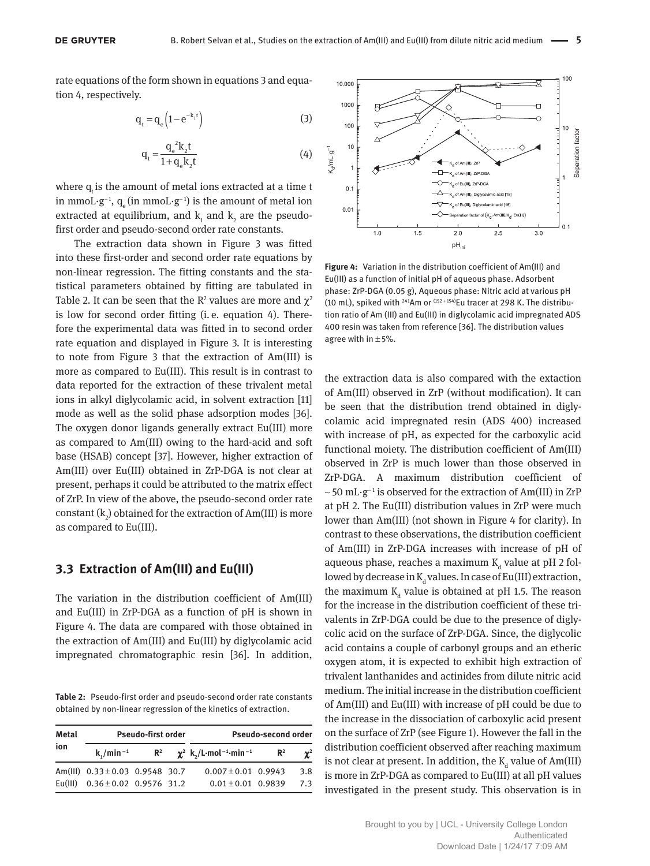rate equations of the form shown in equations 3 and equation 4, respectively.

$$
q_{t} = q_{e} \left( 1 - e^{-k_{1}t} \right) \tag{3}
$$

$$
q_{t} = \frac{q_{e}^{2}k_{2}t}{1 + q_{e}k_{2}t}
$$
 (4)

where  $q_i$  is the amount of metal ions extracted at a time t in mmoL·g<sup>−1</sup>,  $q_e$  (in mmoL·g<sup>−1</sup>) is the amount of metal ion extracted at equilibrium, and  $k_1$  and  $k_2$  are the pseudofirst order and pseudo-second order rate constants.

The extraction data shown in Figure 3 was fitted into these first-order and second order rate equations by non-linear regression. The fitting constants and the statistical parameters obtained by fitting are tabulated in Table 2. It can be seen that the  $\mathbb{R}^2$  values are more and  $\chi^2$ is low for second order fitting (i. e. equation 4). Therefore the experimental data was fitted in to second order rate equation and displayed in Figure 3. It is interesting to note from Figure 3 that the extraction of Am(III) is more as compared to Eu(III). This result is in contrast to data reported for the extraction of these trivalent metal ions in alkyl diglycolamic acid, in solvent extraction [11] mode as well as the solid phase adsorption modes [36]. The oxygen donor ligands generally extract Eu(III) more as compared to Am(III) owing to the hard-acid and soft base (HSAB) concept [37]. However, higher extraction of Am(III) over Eu(III) obtained in ZrP-DGA is not clear at present, perhaps it could be attributed to the matrix effect of ZrP. In view of the above, the pseudo-second order rate constant  $(k_2)$  obtained for the extraction of Am(III) is more as compared to Eu(III).

#### **3.3 Extraction of Am(III) and Eu(III)**

The variation in the distribution coefficient of Am(III) and Eu(III) in ZrP-DGA as a function of pH is shown in Figure 4. The data are compared with those obtained in the extraction of Am(III) and Eu(III) by diglycolamic acid impregnated chromatographic resin [36]. In addition,

**Table 2:** Pseudo-first order and pseudo-second order rate constants obtained by non-linear regression of the kinetics of extraction.

| Metal<br>ion | <b>Pseudo-first order</b>           |                |  | <b>Pseudo-second order</b>                         |                |                         |
|--------------|-------------------------------------|----------------|--|----------------------------------------------------|----------------|-------------------------|
|              | $k_{1}/min^{-1}$                    | $\mathbb{R}^2$ |  | $\chi^2$ k /L-mol <sup>-1</sup> -min <sup>-1</sup> | $\mathbb{R}^2$ | $\boldsymbol{\gamma}^2$ |
|              | Am(III) $0.33 \pm 0.03$ 0.9548 30.7 |                |  | $0.007 \pm 0.01$ 0.9943                            |                | 3.8                     |
|              | Eu(III) $0.36 \pm 0.02$ 0.9576 31.2 |                |  | $0.01 \pm 0.01$ 0.9839                             |                | 7.3                     |



**Figure 4:** Variation in the distribution coefficient of Am(III) and Eu(III) as a function of initial pH of aqueous phase. Adsorbent phase: ZrP-DGA (0.05 g), Aqueous phase: Nitric acid at various pH (10 mL), spiked with <sup>241</sup>Am or  $(152+154)$ Eu tracer at 298 K. The distribution ratio of Am (III) and Eu(III) in diglycolamic acid impregnated ADS 400 resin was taken from reference [36]. The distribution values agree with in  $\pm$ 5%.

the extraction data is also compared with the extaction of Am(III) observed in ZrP (without modification). It can be seen that the distribution trend obtained in diglycolamic acid impregnated resin (ADS 400) increased with increase of pH, as expected for the carboxylic acid functional moiety. The distribution coefficient of Am(III) observed in ZrP is much lower than those observed in ZrP-DGA. A maximum distribution coefficient of ∼ 50 mL·g− 1 is observed for the extraction of Am(III) in ZrP at pH 2. The Eu(III) distribution values in ZrP were much lower than Am(III) (not shown in Figure 4 for clarity). In contrast to these observations, the distribution coefficient of Am(III) in ZrP-DGA increases with increase of pH of aqueous phase, reaches a maximum  $\mathrm{K}_{\mathrm{d}}$  value at pH 2 followed by decrease in  $\mathrm{K}_\mathrm{d}$  values. In case of Eu(III) extraction, the maximum  $K_d$  value is obtained at pH 1.5. The reason for the increase in the distribution coefficient of these trivalents in ZrP-DGA could be due to the presence of diglycolic acid on the surface of ZrP-DGA. Since, the diglycolic acid contains a couple of carbonyl groups and an etheric oxygen atom, it is expected to exhibit high extraction of trivalent lanthanides and actinides from dilute nitric acid medium. The initial increase in the distribution coefficient of Am(III) and Eu(III) with increase of pH could be due to the increase in the dissociation of carboxylic acid present on the surface of ZrP (see Figure 1). However the fall in the distribution coefficient observed after reaching maximum is not clear at present. In addition, the  $\text{K}_{\text{d}}$  value of Am(III) is more in ZrP-DGA as compared to Eu(III) at all pH values investigated in the present study. This observation is in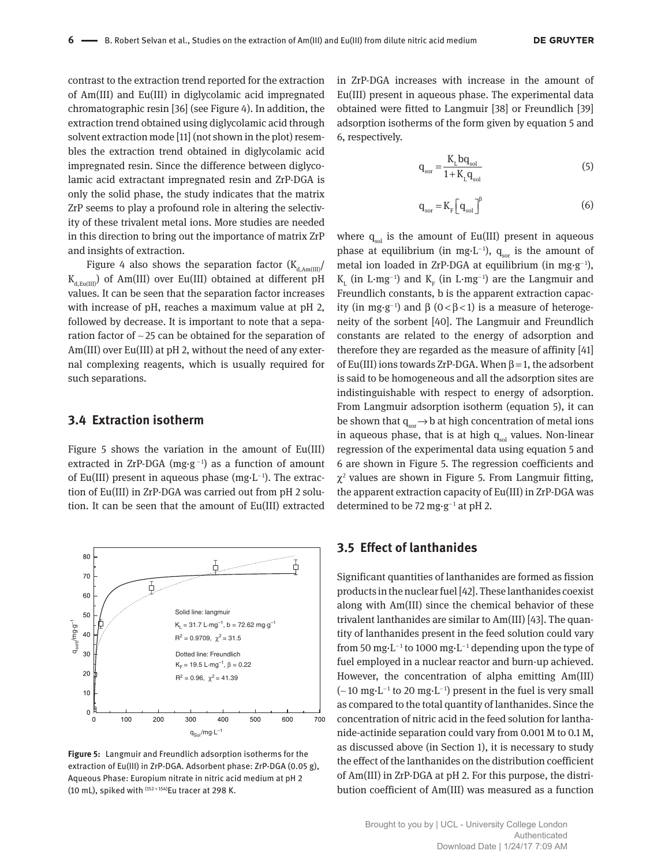contrast to the extraction trend reported for the extraction of Am(III) and Eu(III) in diglycolamic acid impregnated chromatographic resin [36] (see Figure 4). In addition, the extraction trend obtained using diglycolamic acid through solvent extraction mode [11] (not shown in the plot) resembles the extraction trend obtained in diglycolamic acid impregnated resin. Since the difference between diglycolamic acid extractant impregnated resin and ZrP-DGA is only the solid phase, the study indicates that the matrix ZrP seems to play a profound role in altering the selectivity of these trivalent metal ions. More studies are needed in this direction to bring out the importance of matrix ZrP and insights of extraction.

Figure 4 also shows the separation factor  $(K_{dAmm}/I)$  $K_{d,Eu(III)}$  of Am(III) over Eu(III) obtained at different pH values. It can be seen that the separation factor increases with increase of pH, reaches a maximum value at pH 2, followed by decrease. It is important to note that a separation factor of ∼ 25 can be obtained for the separation of Am(III) over Eu(III) at pH 2, without the need of any external complexing reagents, which is usually required for such separations.

### **3.4 Extraction isotherm**

Figure 5 shows the variation in the amount of Eu(III) extracted in ZrP-DGA (mg·g − 1) as a function of amount of Eu(III) present in aqueous phase (mg·L− 1). The extraction of Eu(III) in ZrP-DGA was carried out from pH 2 solution. It can be seen that the amount of Eu(III) extracted



**Figure 5:** Langmuir and Freundlich adsorption isotherms for the extraction of Eu(III) in ZrP-DGA. Adsorbent phase: ZrP-DGA (0.05 g), Aqueous Phase: Europium nitrate in nitric acid medium at pH 2 (10 mL), spiked with (152 + 154)Eu tracer at 298 K.

in ZrP-DGA increases with increase in the amount of Eu(III) present in aqueous phase. The experimental data obtained were fitted to Langmuir [38] or Freundlich [39] adsorption isotherms of the form given by equation 5 and 6, respectively.

$$
\mathbf{q}_{\text{sort}} = \frac{\mathbf{K}_{\text{L}} \mathbf{b} \mathbf{q}_{\text{sol}}}{1 + \mathbf{K}_{\text{L}} \mathbf{q}_{\text{sol}}}
$$
(5)

$$
\mathbf{q}_{\text{sort}} = \mathbf{K}_{\text{F}} \left[ \mathbf{q}_{\text{sol}} \right]^{\beta} \tag{6}
$$

where  $q_{sol}$  is the amount of Eu(III) present in aqueous phase at equilibrium (in mg⋅L<sup>-1</sup>),  $q_{\text{sort}}$  is the amount of metal ion loaded in ZrP-DGA at equilibrium (in mg·g− 1),  $K_{L}$  (in L·mg<sup>-1</sup>) and  $K_{F}$  (in L·mg<sup>-1</sup>) are the Langmuir and Freundlich constants, b is the apparent extraction capacity (in mg⋅g<sup>-1</sup>) and β (0 < β < 1) is a measure of heterogeneity of the sorbent [40]. The Langmuir and Freundlich constants are related to the energy of adsorption and therefore they are regarded as the measure of affinity [41] of Eu(III) ions towards ZrP-DGA. When  $\beta = 1$ , the adsorbent is said to be homogeneous and all the adsorption sites are indistinguishable with respect to energy of adsorption. From Langmuir adsorption isotherm (equation 5), it can be shown that  $q_{\rm sor}$   $\rightarrow$  b at high concentration of metal ions in aqueous phase, that is at high  $q_{sol}$  values. Non-linear regression of the experimental data using equation 5 and 6 are shown in Figure 5. The regression coefficients and  $\chi^2$  values are shown in Figure 5. From Langmuir fitting, the apparent extraction capacity of Eu(III) in ZrP-DGA was determined to be 72 mg⋅g<sup>-1</sup> at pH 2.

### **3.5 Effect of lanthanides**

Significant quantities of lanthanides are formed as fission products in the nuclear fuel [42]. These lanthanides coexist along with Am(III) since the chemical behavior of these trivalent lanthanides are similar to Am(III) [43]. The quantity of lanthanides present in the feed solution could vary from 50 mg·L− 1 to 1000 mg·L− 1 depending upon the type of fuel employed in a nuclear reactor and burn-up achieved. However, the concentration of alpha emitting Am(III) (∼ 10 mg·L− 1 to 20 mg·L− 1) present in the fuel is very small as compared to the total quantity of lanthanides. Since the concentration of nitric acid in the feed solution for lanthanide-actinide separation could vary from 0.001 M to 0.1 M, as discussed above (in Section 1), it is necessary to study the effect of the lanthanides on the distribution coefficient of Am(III) in ZrP-DGA at pH 2. For this purpose, the distribution coefficient of Am(III) was measured as a function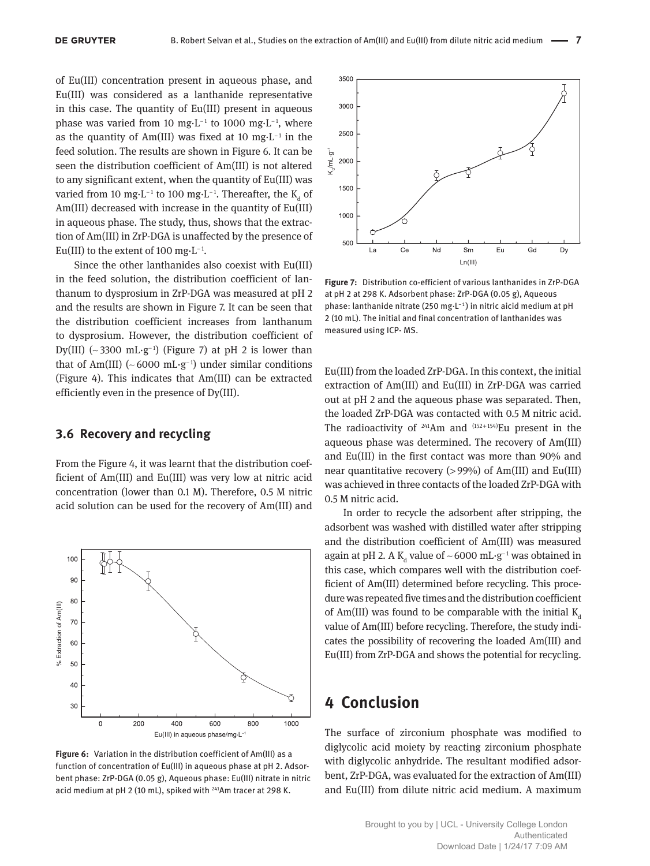of Eu(III) concentration present in aqueous phase, and Eu(III) was considered as a lanthanide representative in this case. The quantity of Eu(III) present in aqueous phase was varied from 10  $mg·L^{-1}$  to 1000 mg⋅L<sup>-1</sup>, where as the quantity of Am(III) was fixed at 10  $mg L^{-1}$  in the feed solution. The results are shown in Figure 6. It can be seen the distribution coefficient of Am(III) is not altered to any significant extent, when the quantity of Eu(III) was varied from 10 mg·L<sup>-1</sup> to 100 mg·L<sup>-1</sup>. Thereafter, the  $K_d$  of Am(III) decreased with increase in the quantity of Eu(III) in aqueous phase. The study, thus, shows that the extraction of Am(III) in ZrP-DGA is unaffected by the presence of Eu(III) to the extent of 100 mg⋅L<sup>-1</sup>.

Since the other lanthanides also coexist with Eu(III) in the feed solution, the distribution coefficient of lanthanum to dysprosium in ZrP-DGA was measured at pH 2 and the results are shown in Figure 7. It can be seen that the distribution coefficient increases from lanthanum to dysprosium. However, the distribution coefficient of Dy(III) (~3300 mL·g<sup>-1</sup>) (Figure 7) at pH 2 is lower than that of Am(III) (~ $6000$  mL·g<sup>-1</sup>) under similar conditions (Figure 4). This indicates that Am(III) can be extracted efficiently even in the presence of Dy(III).

#### **3.6 Recovery and recycling**

From the Figure 4, it was learnt that the distribution coefficient of Am(III) and Eu(III) was very low at nitric acid concentration (lower than 0.1 M). Therefore, 0.5 M nitric acid solution can be used for the recovery of Am(III) and



**Figure 6:** Variation in the distribution coefficient of Am(III) as a function of concentration of Eu(III) in aqueous phase at pH 2. Adsorbent phase: ZrP-DGA (0.05 g), Aqueous phase: Eu(III) nitrate in nitric acid medium at pH 2 (10 mL), spiked with <sup>241</sup>Am tracer at 298 K.



**Figure 7:** Distribution co-efficient of various lanthanides in ZrP-DGA at pH 2 at 298 K. Adsorbent phase: ZrP-DGA (0.05 g), Aqueous phase: lanthanide nitrate (250 mg·L− 1 ) in nitric aicid medium at pH 2 (10 mL). The initial and final concentration of lanthanides was measured using ICP- MS.

Eu(III) from the loaded ZrP-DGA. In this context, the initial extraction of Am(III) and Eu(III) in ZrP-DGA was carried out at pH 2 and the aqueous phase was separated. Then, the loaded ZrP-DGA was contacted with 0.5 M nitric acid. The radioactivity of  $241$ Am and  $(152+154)$ Eu present in the aqueous phase was determined. The recovery of Am(III) and Eu(III) in the first contact was more than 90% and near quantitative recovery (> 99%) of Am(III) and Eu(III) was achieved in three contacts of the loaded ZrP-DGA with 0.5 M nitric acid.

In order to recycle the adsorbent after stripping, the adsorbent was washed with distilled water after stripping and the distribution coefficient of Am(III) was measured again at pH 2. A  $\text{K}_{\text{d}}$  value of ~6000 mL∙g<sup>-1</sup> was obtained in this case, which compares well with the distribution coefficient of Am(III) determined before recycling. This procedure was repeated five times and the distribution coefficient of Am(III) was found to be comparable with the initial  $K_a$ value of Am(III) before recycling. Therefore, the study indicates the possibility of recovering the loaded Am(III) and Eu(III) from ZrP-DGA and shows the potential for recycling.

## **4 Conclusion**

The surface of zirconium phosphate was modified to diglycolic acid moiety by reacting zirconium phosphate with diglycolic anhydride. The resultant modified adsorbent, ZrP-DGA, was evaluated for the extraction of Am(III) and Eu(III) from dilute nitric acid medium. A maximum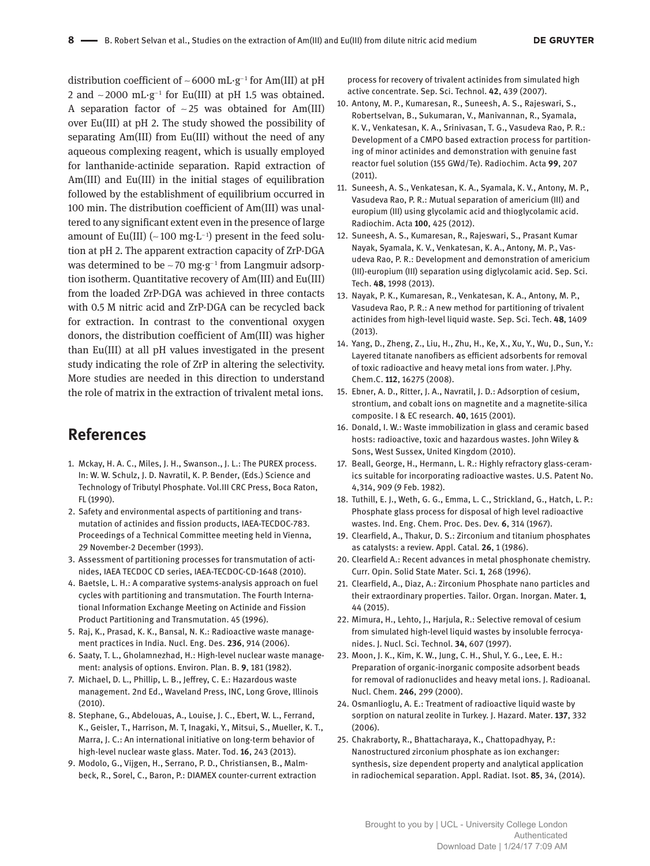distribution coefficient of ∼ 6000 mL·g− 1 for Am(III) at pH 2 and ∼ 2000 mL·g− 1 for Eu(III) at pH 1.5 was obtained. A separation factor of ∼ 25 was obtained for Am(III) over Eu(III) at pH 2. The study showed the possibility of separating Am(III) from Eu(III) without the need of any aqueous complexing reagent, which is usually employed for lanthanide-actinide separation. Rapid extraction of Am(III) and Eu(III) in the initial stages of equilibration followed by the establishment of equilibrium occurred in 100 min. The distribution coefficient of Am(III) was unaltered to any significant extent even in the presence of large amount of Eu(III) ( $\sim$ 100 mg⋅L<sup>-1</sup>) present in the feed solution at pH 2. The apparent extraction capacity of ZrP-DGA was determined to be ∼ 70 mg·g<sup>-1</sup> from Langmuir adsorption isotherm. Quantitative recovery of Am(III) and Eu(III) from the loaded ZrP-DGA was achieved in three contacts with 0.5 M nitric acid and ZrP-DGA can be recycled back for extraction. In contrast to the conventional oxygen donors, the distribution coefficient of Am(III) was higher than Eu(III) at all pH values investigated in the present study indicating the role of ZrP in altering the selectivity. More studies are needed in this direction to understand the role of matrix in the extraction of trivalent metal ions.

# **References**

- 1. Mckay, H. A. C., Miles, J. H., Swanson., J. L.: The PUREX process. In: W. W. Schulz, J. D. Navratil, K. P. Bender, (Eds.) Science and Technology of Tributyl Phosphate. Vol.III CRC Press, Boca Raton, FL (1990).
- 2. Safety and environmental aspects of partitioning and transmutation of actinides and fission products, IAEA-TECDOC-783. Proceedings of a Technical Committee meeting held in Vienna, 29 November-2 December (1993).
- 3. Assessment of partitioning processes for transmutation of actinides, IAEA TECDOC CD series, IAEA-TECDOC-CD-1648 (2010).
- 4. Baetsle, L. H.: A comparative systems-analysis approach on fuel cycles with partitioning and transmutation. The Fourth International Information Exchange Meeting on Actinide and Fission Product Partitioning and Transmutation. 45 (1996).
- 5. Raj, K., Prasad, K. K., Bansal, N. K.: Radioactive waste management practices in India. Nucl. Eng. Des. **236**, 914 (2006).
- 6. Saaty, T. L., Gholamnezhad, H.: High-level nuclear waste management: analysis of options. Environ. Plan. B. **9**, 181 (1982).
- 7. Michael, D. L., Phillip, L. B., Jeffrey, C. E.: Hazardous waste management. 2nd Ed., Waveland Press, INC, Long Grove, Illinois (2010).
- 8. Stephane, G., Abdelouas, A., Louise, J. C., Ebert, W. L., Ferrand, K., Geisler, T., Harrison, M. T, Inagaki, Y., Mitsui, S., Mueller, K. T., Marra, J. C.: An international initiative on long-term behavior of high-level nuclear waste glass. Mater. Tod. **16**, 243 (2013).
- 9. Modolo, G., Vijgen, H., Serrano, P. D., Christiansen, B., Malmbeck, R., Sorel, C., Baron, P.: DIAMEX counter-current extraction

process for recovery of trivalent actinides from simulated high active concentrate. Sep. Sci. Technol. **42**, 439 (2007).

- 10. Antony, M. P., Kumaresan, R., Suneesh, A. S., Rajeswari, S., Robertselvan, B., Sukumaran, V., Manivannan, R., Syamala, K. V., Venkatesan, K. A., Srinivasan, T. G., Vasudeva Rao, P. R.: Development of a CMPO based extraction process for partitioning of minor actinides and demonstration with genuine fast reactor fuel solution (155 GWd/Te). Radiochim. Acta **99**, 207 (2011).
- 11. Suneesh, A. S., Venkatesan, K. A., Syamala, K. V., Antony, M. P., Vasudeva Rao, P. R.: Mutual separation of americium (III) and europium (III) using glycolamic acid and thioglycolamic acid. Radiochim. Acta **100**, 425 (2012).
- 12. Suneesh, A. S., Kumaresan, R., Rajeswari, S., Prasant Kumar Nayak, Syamala, K. V., Venkatesan, K. A., Antony, M. P., Vasudeva Rao, P. R.: Development and demonstration of americium (III)-europium (III) separation using diglycolamic acid. Sep. Sci. Tech. **48**, 1998 (2013).
- 13. Nayak, P. K., Kumaresan, R., Venkatesan, K. A., Antony, M. P., Vasudeva Rao, P. R.: A new method for partitioning of trivalent actinides from high-level liquid waste. Sep. Sci. Tech. **48**, 1409 (2013).
- 14. Yang, D., Zheng, Z., Liu, H., Zhu, H., Ke, X., Xu, Y., Wu, D., Sun, Y.: Layered titanate nanofibers as efficient adsorbents for removal of toxic radioactive and heavy metal ions from water. J.Phy. Chem.C. **112**, 16275 (2008).
- 15. Ebner, A. D., Ritter, J. A., Navratil, J. D.: Adsorption of cesium, strontium, and cobalt ions on magnetite and a magnetite-silica composite. I & EC research. **40**, 1615 (2001).
- 16. Donald, I. W.: Waste immobilization in glass and ceramic based hosts: radioactive, toxic and hazardous wastes. John Wiley & Sons, West Sussex, United Kingdom (2010).
- 17. Beall, George, H., Hermann, L. R.: Highly refractory glass-ceramics suitable for incorporating radioactive wastes. U.S. Patent No. 4,314, 909 (9 Feb. 1982).
- 18. Tuthill, E. J., Weth, G. G., Emma, L. C., Strickland, G., Hatch, L. P.: Phosphate glass process for disposal of high level radioactive wastes. Ind. Eng. Chem. Proc. Des. Dev. **6**, 314 (1967).
- 19. Clearfield, A., Thakur, D. S.: Zirconium and titanium phosphates as catalysts: a review. Appl. Catal. **26**, 1 (1986).
- 20. Clearfield A.: Recent advances in metal phosphonate chemistry. Curr. Opin. Solid State Mater. Sci. **1**, 268 (1996).
- 21. Clearfield, A., Diaz, A.: Zirconium Phosphate nano particles and their extraordinary properties. Tailor. Organ. Inorgan. Mater. **1**, 44 (2015).
- 22. Mimura, H., Lehto, J., Harjula, R.: Selective removal of cesium from simulated high-level liquid wastes by insoluble ferrocyanides. J. Nucl. Sci. Technol. **34**, 607 (1997).
- 23. Moon, J. K., Kim, K. W., Jung, C. H., Shul, Y. G., Lee, E. H.: Preparation of organic-inorganic composite adsorbent beads for removal of radionuclides and heavy metal ions. J. Radioanal. Nucl. Chem. **246**, 299 (2000).
- 24. Osmanlioglu, A. E.: Treatment of radioactive liquid waste by sorption on natural zeolite in Turkey. J. Hazard. Mater. **137**, 332 (2006).
- 25. Chakraborty, R., Bhattacharaya, K., Chattopadhyay, P.: Nanostructured zirconium phosphate as ion exchanger: synthesis, size dependent property and analytical application in radiochemical separation. Appl. Radiat. Isot. **85**, 34, (2014).